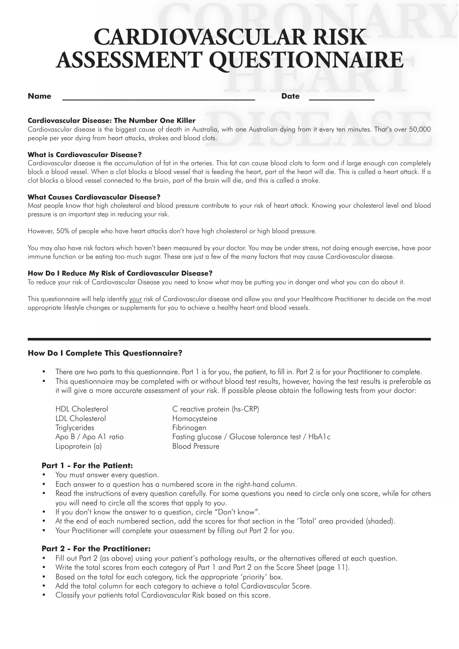# **CARDIOVASCULAR RISK ASSESSMENT QUESTIONNAIRE**

#### **Name \_\_\_\_\_\_\_\_\_\_\_\_\_\_\_\_\_\_\_\_\_\_\_\_\_\_\_\_\_\_\_\_\_\_\_\_\_\_\_\_\_\_\_\_\_\_\_\_\_\_ Date \_\_\_\_\_\_\_\_\_\_\_\_\_\_\_\_\_**

#### **Cardiovascular Disease: The Number One Killer**

Cardiovascular disease is the biggest cause of death in Australia, with one Australian dying from it every ten minutes. That's over 50,000 people per year dying from heart attacks, strokes and blood clots.

#### **What is Cardiovascular Disease?**

Cardiovascular disease is the accumulation of fat in the arteries. This fat can cause blood clots to form and if large enough can completely block a blood vessel. When a clot blocks a blood vessel that is feeding the heart, part of the heart will die. This is called a heart attack. If a clot blocks a blood vessel connected to the brain, part of the brain will die, and this is called a stroke.

#### **What Causes Cardiovascular Disease?**

Most people know that high cholesterol and blood pressure contribute to your risk of heart attack. Knowing your cholesterol level and blood pressure is an important step in reducing your risk.

However, 50% of people who have heart attacks don't have high cholesterol or high blood pressure.

You may also have risk factors which haven't been measured by your doctor. You may be under stress, not doing enough exercise, have poor immune function or be eating too much sugar. These are just a few of the many factors that may cause Cardiovascular disease.

#### **How Do I Reduce My Risk of Cardiovascular Disease?**

To reduce your risk of Cardiovascular Disease you need to know what may be putting you in danger and what you can do about it.

This questionnaire will help identify your risk of Cardiovascular disease and allow you and your Healthcare Practitioner to decide on the most appropriate lifestyle changes or supplements for you to achieve a healthy heart and blood vessels.

#### **How Do I Complete This Questionnaire?**

- There are two parts to this questionnaire. Part 1 is for you, the patient, to fill in. Part 2 is for your Practitioner to complete. •
- This questionnaire may be completed with or without blood test results, however, having the test results is preferable as it will give a more accurate assessment of your risk. If possible please obtain the following tests from your doctor: •

| <b>HDL</b> Cholesterol | C reactive protein (hs-CRP)                      |
|------------------------|--------------------------------------------------|
| LDL Cholesterol        | Homocysteine                                     |
| Triglycerides          | Fibrinogen                                       |
| Apo B / Apo A1 ratio   | Fasting glucose / Glucose tolerance test / HbA1c |
| Lipoprotein (a)        | <b>Blood Pressure</b>                            |
|                        |                                                  |

#### **Part 1 - For the Patient:**

- You must answer every question. •
- Each answer to a question has a numbered score in the right-hand column. •
- Read the instructions of every question carefully. For some questions you need to circle only one score, while for others you will need to circle all the scores that apply to you. •
- If you don't know the answer to a question, circle "Don't know". •
- At the end of each numbered section, add the scores for that section in the 'Total' area provided (shaded). •
- Your Practitioner will complete your assessment by filling out Part 2 for you.

#### **Part 2 - For the Practitioner:**

- Fill out Part 2 (as above) using your patient's pathology results, or the alternatives offered at each question. •
- Write the total scores from each category of Part 1 and Part 2 on the Score Sheet (page 11). •
- Based on the total for each category, tick the appropriate 'priority' box. •
- Add the total column for each category to achieve a total Cardiovascular Score. •
- Classify your patients total Cardiovascular Risk based on this score. •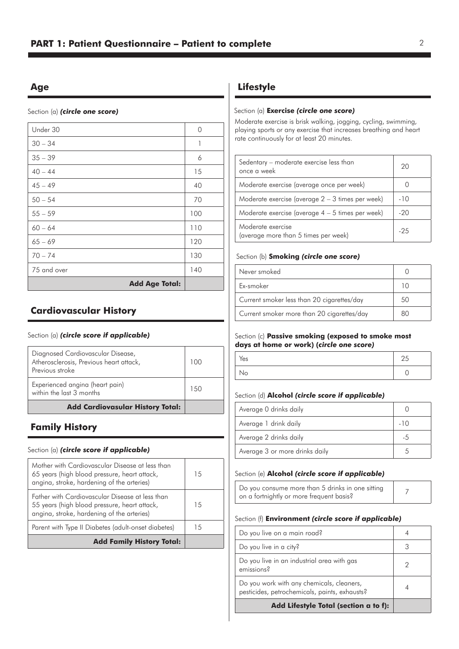# **Age**

Section (a) *(circle one score)*

| Under 30              | $\Omega$ |
|-----------------------|----------|
| $30 - 34$             | 1        |
| $35 - 39$             | 6        |
| $40 - 44$             | 15       |
| $45 - 49$             | 40       |
| $50 - 54$             | 70       |
| $55 - 59$             | 100      |
| $60 - 64$             | 110      |
| $65 - 69$             | 120      |
| $70 - 74$             | 130      |
| 75 and over           | 140      |
| <b>Add Age Total:</b> |          |

# **Cardiovascular History**

#### Section (a) *(circle score if applicable)*

| <b>Add Cardiovasular History Total:</b>                                                         |      |
|-------------------------------------------------------------------------------------------------|------|
| Experienced angina (heart pain)<br>within the last 3 months                                     | 1.50 |
| Diagnosed Cardiovascular Disease,<br>Atherosclerosis, Previous heart attack,<br>Previous stroke | 100  |

# **Family History**

#### Section (a) *(circle score if applicable)*

| Mother with Cardiovascular Disease at less than<br>65 years (high blood pressure, heart attack,<br>angina, stroke, hardening of the arteries) | 15 |
|-----------------------------------------------------------------------------------------------------------------------------------------------|----|
| Eather with Cardiovascular Disease at less than<br>55 years (high blood pressure, heart attack,<br>angina, stroke, hardening of the arteries) | 15 |
| Parent with Type II Diabetes (adult-onset diabetes)                                                                                           | 15 |
| <b>Add Family History Total:</b>                                                                                                              |    |

# **Lifestyle**

#### Section (a) **Exercise** *(circle one score)*

Moderate exercise is brisk walking, jogging, cycling, swimming, playing sports or any exercise that increases breathing and heart rate continuously for at least 20 minutes.

| Sedentary – moderate exercise less than<br>once a week    |       |
|-----------------------------------------------------------|-------|
| Moderate exercise (average once per week)                 |       |
| Moderate exercise (average $2 - 3$ times per week)        | $-10$ |
| Moderate exercise (average $4 - 5$ times per week)        | $-20$ |
| Moderate exercise<br>(average more than 5 times per week) | $-25$ |

#### Section (b) **Smoking** *(circle one score)*

| Never smoked                               |    |
|--------------------------------------------|----|
| Ex-smoker                                  |    |
| Current smoker less than 20 cigarettes/day | 50 |
| Current smoker more than 20 cigarettes/day | 80 |

#### Section (c) **Passive smoking (exposed to smoke most days at home or work) (***circle one score)*

| Yes | $\sim$ $-$<br>25 |
|-----|------------------|
| No  |                  |

#### Section (d) **Alcohol** *(circle score if applicable)*

| Average 0 drinks daily         |       |  |
|--------------------------------|-------|--|
| Average 1 drink daily          | $-10$ |  |
| Average 2 drinks daily         |       |  |
| Average 3 or more drinks daily |       |  |

#### Section (e) **Alcohol** *(circle score if applicable)*

| Do you consume more than 5 drinks in one sitting |  |
|--------------------------------------------------|--|
| on a fortnightly or more frequent basis?         |  |

#### Section (f) **Environment** *(circle score if applicable)*

| Add Lifestyle Total (section a to f):                                                      |   |
|--------------------------------------------------------------------------------------------|---|
| Do you work with any chemicals, cleaners,<br>pesticides, petrochemicals, paints, exhausts? |   |
| Do you live in an industrial area with gas<br>emissions <sup>2</sup>                       |   |
| Do you live in a city?                                                                     | 3 |
| Do you live on a main road?                                                                |   |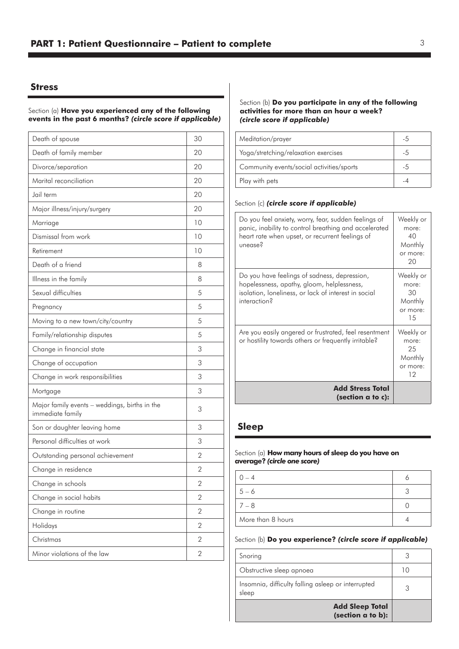#### **Stress**

#### Section (a) **Have you experienced any of the following events in the past 6 months?** *(circle score if applicable)*

| Death of spouse                                                   | 30             |
|-------------------------------------------------------------------|----------------|
| Death of family member                                            | 20             |
| Divorce/separation                                                | 20             |
| Marital reconciliation                                            | 20             |
| Jail term                                                         | 20             |
| Major illness/injury/surgery                                      | 20             |
| Marriage                                                          | 10             |
| Dismissal from work                                               | 10             |
| Retirement                                                        | 10             |
| Death of a friend                                                 | 8              |
| Illness in the family                                             | 8              |
| Sexual difficulties                                               | 5              |
| Pregnancy                                                         | 5              |
| Moving to a new town/city/country                                 | 5              |
| Family/relationship disputes                                      | 5              |
| Change in financial state                                         | 3              |
| Change of occupation                                              | 3              |
| Change in work responsibilities                                   | 3              |
| Mortgage                                                          | 3              |
| Major family events - weddings, births in the<br>immediate family | 3              |
| Son or daughter leaving home                                      | 3              |
| Personal difficulties at work                                     | 3              |
| Outstanding personal achievement                                  | $\overline{2}$ |
| Change in residence                                               | 2              |
| Change in schools                                                 | 2              |
| Change in social habits                                           | $\overline{2}$ |
| Change in routine                                                 | 2              |
| Holidays                                                          | 2              |
| Christmas                                                         | $\overline{2}$ |
| Minor violations of the law                                       | $\overline{2}$ |

#### Section (b) **Do you participate in any of the following activities for more than an hour a week?** *(circle score if applicable)*

| Meditation/prayer                         |    |
|-------------------------------------------|----|
| Yoga/stretching/relaxation exercises      |    |
| Community events/social activities/sports | -5 |
| Play with pets                            |    |

#### Section (c) *(circle score if applicable)*

| Do you feel anxiety, worry, fear, sudden feelings of<br>panic, inability to control breathing and accelerated<br>heart rate when upset, or recurrent feelings of<br>unense <sup>2</sup> | Weekly or<br>more:<br>40<br>Monthly<br>or more:<br>20 |
|-----------------------------------------------------------------------------------------------------------------------------------------------------------------------------------------|-------------------------------------------------------|
| Do you have feelings of sadness, depression,<br>hopelessness, apathy, gloom, helplessness,<br>isolation, loneliness, or lack of interest in social<br>interaction?                      | Weekly or<br>more:<br>30<br>Monthly<br>or more:<br>15 |
| Are you easily angered or frustrated, feel resentment<br>or hostility towards others or frequently irritable?                                                                           | Weekly or<br>more:<br>25<br>Monthly<br>or more:<br>12 |
| <b>Add Stress Total</b><br>(section a to c):                                                                                                                                            |                                                       |

#### **Sleep**

#### Section (a) **How many hours of sleep do you have on average?** *(circle one score)*

| $0 - 4$           |  |
|-------------------|--|
| $5 - 6$           |  |
| $7 - 8$           |  |
| More than 8 hours |  |

#### Section (b) **Do you experience?** *(circle score if applicable)*

| Snoring                                                     |    |
|-------------------------------------------------------------|----|
| Obstructive sleep apnoea                                    | 10 |
| Insomnia, difficulty falling asleep or interrupted<br>sleep |    |
| <b>Add Sleep Total</b><br>(section a to b):                 |    |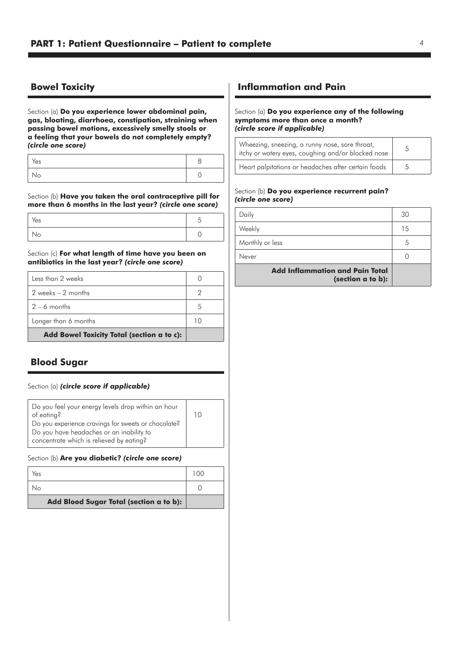# **Bowel Toxicity**

Section (a) **Do you experience lower abdominal pain, gas, bloating, diarrhoea, constipation, straining when passing bowel motions, excessively smelly stools or a feeling that your bowels do not completely empty?**  *(circle one score)*

| Yes |  |
|-----|--|
| 10  |  |

Section (b) **Have you taken the oral contraceptive pill for more than 6 months in the last year?** *(circle one score)*

| Yes |  |
|-----|--|
| No  |  |

Section (c) **For what length of time have you been on antibiotics in the last year?** *(circle one score)*

| Less than 2 weeks                          |    |
|--------------------------------------------|----|
| 2 weeks $-2$ months                        |    |
| $2 - 6$ months                             |    |
| Longer than 6 months                       | 10 |
| Add Bowel Toxicity Total (section a to c): |    |

# **Blood Sugar**

#### Section (a) *(circle score if applicable)*

| Do you feel your energy levels drop within an hour  |  |
|-----------------------------------------------------|--|
| of eating?                                          |  |
| Do you experience cravings for sweets or chocolate? |  |
| Do you have headaches or an inability to            |  |
| concentrate which is relieved by eating?            |  |

#### Section (b) **Are you diabetic?** *(circle one score)*

| Yes                                     | 100 |
|-----------------------------------------|-----|
| Nο                                      |     |
| Add Blood Sugar Total (section a to b): |     |

# **Inflammation and Pain**

#### Section (a) **Do you experience any of the following symptoms more than once a month?** *(circle score if applicable)*

| Wheezing, sneezing, a runny nose, sore throat,<br>itchy or watery eyes, coughing and/or blocked nose |   |
|------------------------------------------------------------------------------------------------------|---|
| Heart palpitations or headaches after certain foods                                                  | 5 |

#### Section (b) **Do you experience recurrent pain?** *(circle one score)*

| Daily                                                       | 30 |
|-------------------------------------------------------------|----|
| Weekly                                                      | 15 |
| Monthly or less                                             | 5  |
| Never                                                       |    |
| <b>Add Inflammation and Pain Total</b><br>(section a to b): |    |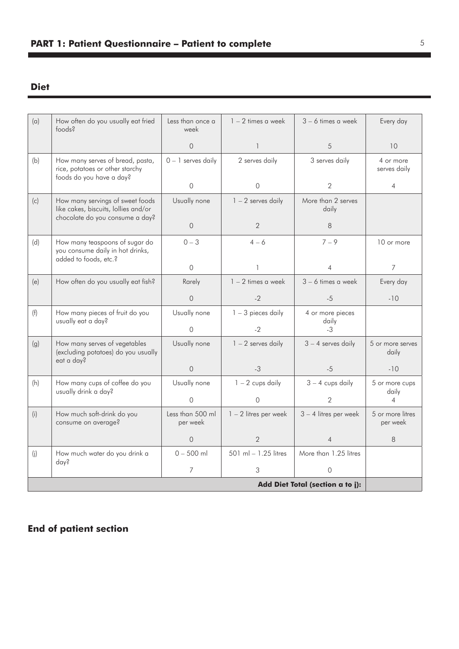# **Diet**

| (a)                              | How often do you usually eat fried<br>foods?                                                                | Less than once a<br>week     | $1 - 2$ times a week    | $3 - 6$ times a week        | Every day                    |
|----------------------------------|-------------------------------------------------------------------------------------------------------------|------------------------------|-------------------------|-----------------------------|------------------------------|
|                                  |                                                                                                             | $\Omega$                     | $\mathbf{1}$            | 5                           | 10                           |
| (b)                              | How many serves of bread, pasta,<br>rice, potatoes or other starchy<br>foods do you have a day?             | $0 - 1$ serves daily         | 2 serves daily          | 3 serves daily              | 4 or more<br>serves daily    |
|                                  |                                                                                                             | $\Omega$                     | $\mathbf 0$             | $\overline{2}$              | $\overline{4}$               |
| (c)                              | How many servings of sweet foods<br>like cakes, biscuits, lollies and/or<br>chocolate do you consume a day? | Usually none                 | $1 - 2$ serves daily    | More than 2 serves<br>daily |                              |
|                                  |                                                                                                             | $\overline{O}$               | $\overline{2}$          | 8                           |                              |
| (d)                              | How many teaspoons of sugar do<br>you consume daily in hot drinks,<br>added to foods, etc.?                 | $0 - 3$                      | $4 - 6$                 | $7 - 9$                     | 10 or more                   |
|                                  |                                                                                                             | $\Omega$                     | $\mathbf{1}$            | 4                           | $\overline{7}$               |
| (e)                              | How often do you usually eat fish?                                                                          | Rarely                       | $1 - 2$ times a week    | 3 - 6 times a week          | Every day                    |
|                                  |                                                                                                             | $\Omega$                     | $-2$                    | $-5$                        | $-10$                        |
| (f)                              | How many pieces of fruit do you<br>usually eat a day?                                                       | Usually none                 | $1 - 3$ pieces daily    | 4 or more pieces<br>daily   |                              |
|                                  |                                                                                                             | $\Omega$                     | $-2$                    | $-3$                        |                              |
| (g)                              | How many serves of vegetables<br>(excluding potatoes) do you usually<br>eat a day?                          | Usually none                 | $1 - 2$ serves daily    | $3 - 4$ serves daily        | 5 or more serves<br>daily    |
|                                  |                                                                                                             | $\overline{O}$               | $-3$                    | $-5$                        | $-10$                        |
| (h)                              | How many cups of coffee do you<br>usually drink a day?                                                      | Usually none                 | $1 - 2$ cups daily      | $3 - 4$ cups daily          | 5 or more cups<br>daily      |
|                                  |                                                                                                             | $\Omega$                     | $\Omega$                | 2                           | $\overline{4}$               |
| (i)                              | How much soft-drink do you<br>consume on average?                                                           | Less than 500 ml<br>per week | $1 - 2$ litres per week | $3 - 4$ litres per week     | 5 or more litres<br>per week |
|                                  |                                                                                                             | $\Omega$                     | $\overline{2}$          | 4                           | 8                            |
| (i)                              | How much water do you drink a<br>day?                                                                       | $0 - 500$ ml                 | 501 ml - 1.25 litres    | More than 1.25 litres       |                              |
|                                  |                                                                                                             | $\overline{7}$               | 3                       | $\circ$                     |                              |
| Add Diet Total (section a to j): |                                                                                                             |                              |                         |                             |                              |

# **End of patient section**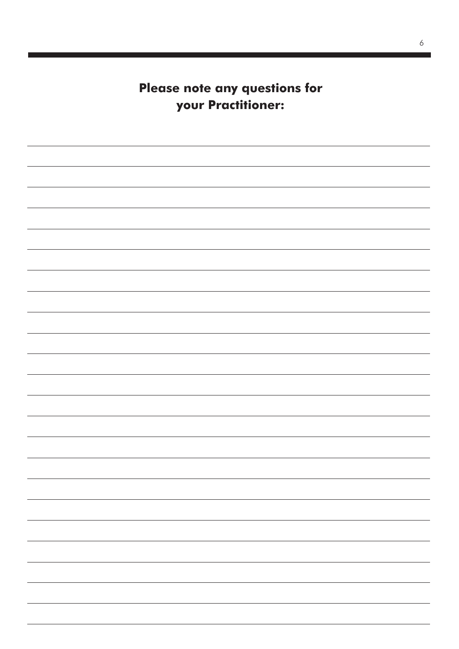**Please note any questions for your Practitioner:**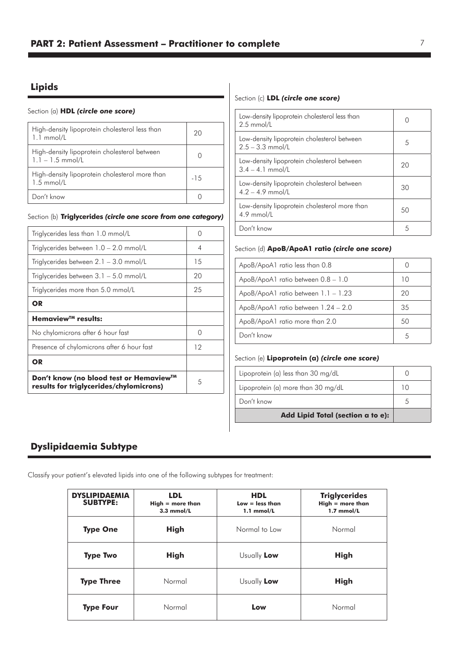# **Lipids**

#### Section (a) **HDL** *(circle one score)*

| High-density lipoprotein cholesterol less than<br>$1.1 \text{ mmol/L}$ | 20     |
|------------------------------------------------------------------------|--------|
| High-density lipoprotein cholesterol between<br>$1.1 - 1.5$ mmol/L     |        |
| High-density lipoprotein cholesterol more than<br>$1.5$ mmol/L         | $-1.5$ |
| Don't know                                                             |        |

#### Section (b) **Triglycerides** *(circle one score from one category)*

| Triglycerides less than 1.0 mmol/L                                                | ∩  |
|-----------------------------------------------------------------------------------|----|
| Triglycerides between $1.0 - 2.0$ mmol/L                                          | 4  |
| Triglycerides between $2.1 - 3.0$ mmol/L                                          | 15 |
| Triglycerides between $3.1 - 5.0$ mmol/L                                          | 20 |
| Triglycerides more than 5.0 mmol/L                                                | 25 |
| OR                                                                                |    |
| Hemaview <sup>™</sup> results:                                                    |    |
| No chylomicrons after 6 hour fast                                                 | ∩  |
| Presence of chylomicrons after 6 hour fast                                        | 12 |
| OR                                                                                |    |
| Don't know (no blood test or Hemaview™<br>results for triglycerides/chylomicrons) | 5  |

#### Section (c) **LDL** *(circle one score)*

| Low-density lipoprotein cholesterol less than<br>$2.5$ mmol/L     |    |
|-------------------------------------------------------------------|----|
| Low-density lipoprotein cholesterol between<br>$2.5 - 3.3$ mmol/L | 5  |
| Low-density lipoprotein cholesterol between<br>$3.4 - 4.1$ mmol/L | 20 |
| Low-density lipoprotein cholesterol between<br>$4.2 - 4.9$ mmol/L | 30 |
| Low-density lipoprotein cholesterol more than<br>$4.9$ mmol/L     | 50 |
| Don't know                                                        | 5  |

#### Section (d) **ApoB/ApoA1 ratio** *(circle one score)*

| ApoB/ApoA1 ratio less than 0.8      | $\left( \right)$ |
|-------------------------------------|------------------|
| ApoB/ApoA1 ratio between 0.8 - 1.0  | 10               |
| ApoB/ApoA1 ratio between 1.1 - 1.23 | 20               |
| ApoB/ApoA1 ratio between 1.24 - 2.0 | 35               |
| ApoB/ApoA1 ratio more than 2.0      | 50               |
| Don't know                          | 5                |

# Section (e) **Lipoprotein (a)** *(circle one score)*

| Lipoprotein (a) less than 30 mg/dL |     |
|------------------------------------|-----|
| Lipoprotein (a) more than 30 mg/dL | 1 ∩ |
| Don't know                         |     |
| Add Lipid Total (section a to e):  |     |

# **Dyslipidaemia Subtype**

Classify your patient's elevated lipids into one of the following subtypes for treatment:

| <b>DYSLIPIDAEMIA</b><br><b>SUBTYPE:</b> | <b>LDL</b><br>$High = more than$<br>$3.3$ mmol/L | <b>HDL</b><br>$Low = less than$<br>$1.1$ mmol/L | <b>Triglycerides</b><br>$High = more than$<br>$1.7$ mmol/L |
|-----------------------------------------|--------------------------------------------------|-------------------------------------------------|------------------------------------------------------------|
| <b>Type One</b>                         | <b>High</b>                                      | Normal to Low                                   | Normal                                                     |
| <b>Type Two</b>                         | <b>High</b>                                      | Usually Low                                     | <b>High</b>                                                |
| <b>Type Three</b>                       | Normal                                           | Usually Low                                     | <b>High</b>                                                |
| <b>Type Four</b>                        | Normal                                           | Low                                             | Normal                                                     |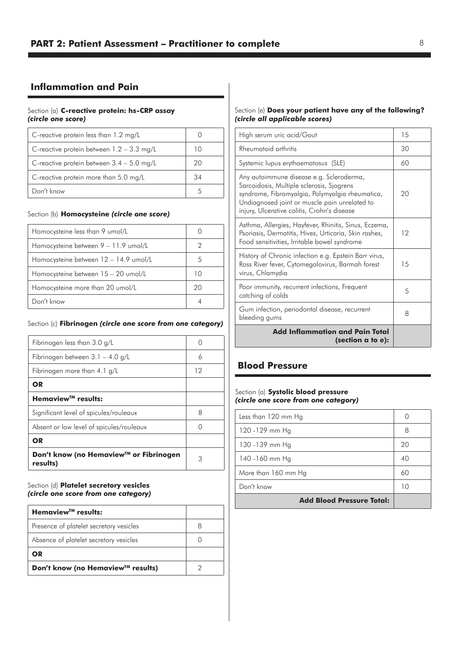# **Inflammation and Pain**

#### Section (a) **C-reactive protein: hs-CRP assay**  *(circle one score)*

| C-reactive protein less than $1.2 \text{ mg/L}$ |    |
|-------------------------------------------------|----|
| C-reactive protein between $1.2 - 3.3$ mg/L     | 10 |
| C-reactive protein between $3.4 - 5.0$ mg/L     | 20 |
| C-reactive protein more than 5.0 mg/L           | 34 |
| Don't know                                      |    |

#### Section (b) **Homocysteine** *(circle one score)*

| Homocysteine less than 9 umol/L       |    |
|---------------------------------------|----|
| Homocysteine between 9 - 11.9 umol/L  | 2  |
| Homocysteine between 12 - 14.9 umol/L | 5  |
| Homocysteine between 15 - 20 umol/L   | 10 |
| Homocysteine more than 20 umol/L      | 20 |
| Don't know                            |    |

#### Section (c) **Fibrinogen** *(circle one score from one category)*

| Don't know (no Hemaview™ or Fibrinogen<br>results) | 3  |
|----------------------------------------------------|----|
| OR                                                 |    |
| Absent or low level of spicules/rouleaux           | Ω  |
| Significant level of spicules/rouleaux             | 8  |
| Hemaview™ results:                                 |    |
| <b>OR</b>                                          |    |
| Fibrinogen more than 4.1 g/L                       | 12 |
| Fibrinogen between $3.1 - 4.0$ g/L                 | 6  |
| Fibrinogen less than 3.0 g/L                       | Ω  |
|                                                    |    |

Section (d) **Platelet secretory vesicles** *(circle one score from one category)*

| Hemaview <sup>™</sup> results:          |  |
|-----------------------------------------|--|
| Presence of platelet secretory vesicles |  |
| Absence of platelet secretory vesicles  |  |
| OR                                      |  |
| Don't know (no Hemaview™ results)       |  |

#### Section (e) **Does your patient have any of the following?** *(circle all applicable scores)*

| High serum uric acid/Gout                                                                                                                                                                                                                | 15 |
|------------------------------------------------------------------------------------------------------------------------------------------------------------------------------------------------------------------------------------------|----|
| Rheumatoid arthritis                                                                                                                                                                                                                     | 30 |
| Systemic lupus erythaematosus (SLE)                                                                                                                                                                                                      | 60 |
| Any autoimmune disease e.g. Scleroderma,<br>Sarcoidosis, Multiple sclerosis, Sjogrens<br>syndrome, Fibromyalgia, Polymyalgia rheumatica,<br>Undiagnosed joint or muscle pain unrelated to<br>injury, Ulcerative colitis, Crohn's disease | 20 |
| Asthma, Allergies, Hayfever, Rhinitis, Sinus, Eczema,<br>Psoriasis, Dermatitis, Hives, Urticaria, Skin rashes,<br>Food sensitivities, Irritable bowel syndrome                                                                           | 12 |
| History of Chronic infection e.g. Epstein Barr virus,<br>Ross River fever, Cytomegalovirus, Barmah forest<br>virus, Chlamydia                                                                                                            | 15 |
| Poor immunity, recurrent infections, Frequent<br>catching of colds                                                                                                                                                                       | 5  |
| Gum infection, periodontal disease, recurrent<br>bleeding gums                                                                                                                                                                           | 8  |
| <b>Add Inflammation and Pain Total</b><br>(section a to e):                                                                                                                                                                              |    |

# **Blood Pressure**

#### Section (a) **Systolic blood pressure** *(circle one score from one category)*

| Less than 120 mm Hg              |    |
|----------------------------------|----|
| 120 -129 mm Hg                   | 8  |
| 130 - 139 mm Hg                  | 20 |
| 140 - 160 mm Hg                  | 40 |
| More than 160 mm Hg              | 60 |
| Don't know                       | 10 |
| <b>Add Blood Pressure Total:</b> |    |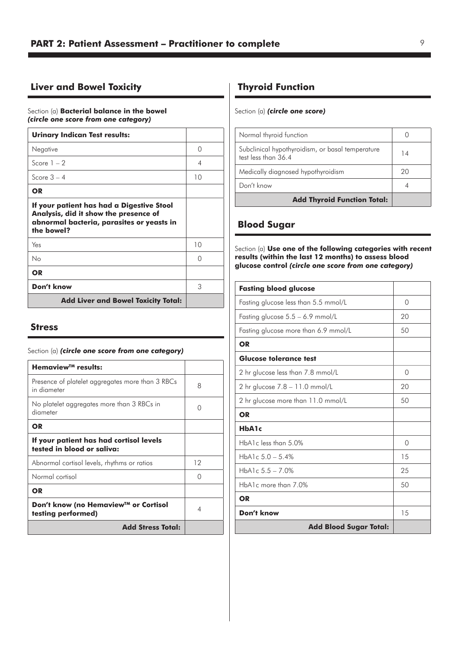# **Liver and Bowel Toxicity**

Section (a) **Bacterial balance in the bowel**  *(circle one score from one category)*

| <b>Urinary Indican Test results:</b>                                                                                                          |    |
|-----------------------------------------------------------------------------------------------------------------------------------------------|----|
| Negative                                                                                                                                      | ∩  |
| Score $1 - 2$                                                                                                                                 | 4  |
| Score $3 - 4$                                                                                                                                 | 10 |
| OR.                                                                                                                                           |    |
| If your patient has had a Digestive Stool<br>Analysis, did it show the presence of<br>abnormal bacteria, parasites or yeasts in<br>the bowel? |    |
| Yes                                                                                                                                           | 10 |
| No                                                                                                                                            | ∩  |
| <b>OR</b>                                                                                                                                     |    |
| Don't know                                                                                                                                    | З  |
| <b>Add Liver and Bowel Toxicity Total:</b>                                                                                                    |    |

### **Stress**

#### Section (a) *(circle one score from one category)*

| Hemaview <sup>™</sup> results:                                        |    |
|-----------------------------------------------------------------------|----|
| Presence of platelet aggregates more than 3 RBCs<br>in diameter       | 8  |
| No platelet aggregates more than 3 RBCs in<br>diameter                | Ω  |
| OR                                                                    |    |
| If your patient has had cortisol levels<br>tested in blood or saliva: |    |
| Abnormal cortisol levels, rhythms or ratios                           | 12 |
| Normal cortisol                                                       | ∩  |
| <b>OR</b>                                                             |    |
| Don't know (no Hemaview™ or Cortisol<br>testing performed)            | 4  |
| <b>Add Stress Total:</b>                                              |    |

# **Thyroid Function**

Section (a) *(circle one score)*

| Normal thyroid function                                                 |    |
|-------------------------------------------------------------------------|----|
| Subclinical hypothyroidism, or basal temperature<br>test less than 36.4 | 14 |
| Medically diagnosed hypothyroidism                                      | 20 |
| Don't know                                                              |    |
| <b>Add Thyroid Function Total:</b>                                      |    |

# **Blood Sugar**

Section (a) **Use one of the following categories with recent results (within the last 12 months) to assess blood glucose control** *(circle one score from one category)*

| <b>Fasting blood glucose</b>         |          |
|--------------------------------------|----------|
| Fasting glucose less than 5.5 mmol/L | $\Omega$ |
| Fasting glucose 5.5 - 6.9 mmol/L     | 20       |
| Fasting glucose more than 6.9 mmol/L | 50       |
| OR                                   |          |
| <b>Glucose tolerance test</b>        |          |
| 2 hr glucose less than 7.8 mmol/L    | $\Omega$ |
| 2 hr glucose $7.8 - 11.0$ mmol/L     | 20       |
| 2 hr glucose more than 11.0 mmol/L   | 50       |
| OR                                   |          |
| HbA1c                                |          |
| $HbA1c$ less than $5.0\%$            | 0        |
| HbA1c $5.0 - 5.4\%$                  | 15       |
| HbA1c $5.5 - 7.0\%$                  | 25       |
| HbA1c more than 7.0%                 | 50       |
| <b>OR</b>                            |          |
| Don't know                           | 1.5      |
| <b>Add Blood Sugar Total:</b>        |          |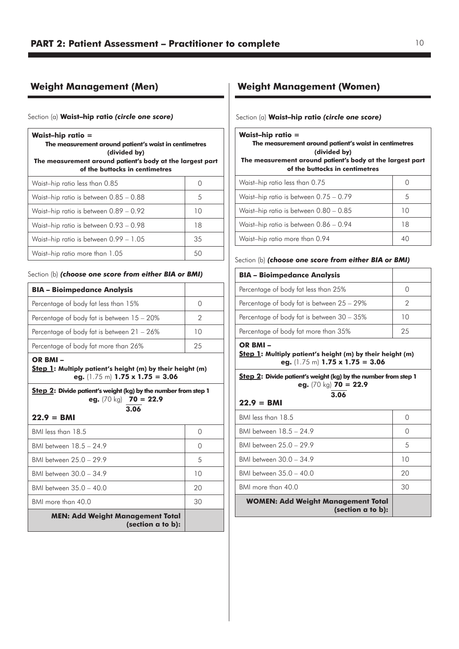# **Weight Management (Men)**

#### Section (a) **Waist–hip ratio** *(circle one score)*

| <b>Waist-hip ratio =</b><br>The measurement around patient's waist in centimetres<br>(divided by)<br>The measurement around patient's body at the largest part<br>of the buttocks in centimetres |            |  |
|--------------------------------------------------------------------------------------------------------------------------------------------------------------------------------------------------|------------|--|
| Waist-hip ratio less than 0.85                                                                                                                                                                   | $\bigcirc$ |  |
| Waist-hip ratio is between 0.85 - 0.88                                                                                                                                                           | 5          |  |
| Waist-hip ratio is between 0.89 - 0.92                                                                                                                                                           | 10         |  |
| Waist-hip ratio is between 0.93 - 0.98                                                                                                                                                           | 18         |  |
| Waist-hip ratio is between 0.99 - 1.05                                                                                                                                                           | 35         |  |
| Waist-hip ratio more than 1.05                                                                                                                                                                   | 50         |  |

#### Section (b) *(choose one score from either BIA or BMI)*

| <b>BIA - Bioimpedance Analysis</b>         |    |
|--------------------------------------------|----|
| Percentage of body fat less than 15%       |    |
| Percentage of body fat is between 15 - 20% |    |
| Percentage of body fat is between 21 - 26% | 10 |
| Percentage of body fat more than 26%       | 25 |

#### **OR BMI –**

**Step 1: Multiply patient's height (m) by their height (m) eg.** (1.75 m) **1.75 x 1.75 = 3.06** 

**Step 2: Divide patient's weight (kg) by the number from step 1 eg.** (70 kg) **70 = 22.9 3.06**

#### **22.9 = BMI**

| 30               |
|------------------|
| 20               |
| 10               |
| 5                |
| Ω                |
| $\left( \right)$ |
|                  |

# **Weight Management (Women)**

#### Section (a) **Waist–hip ratio** *(circle one score)*

| <b>Waist-hip ratio =</b><br>The measurement around patient's waist in centimetres<br>(divided by)<br>The measurement around patient's body at the largest part<br>of the buttocks in centimetres |    |  |
|--------------------------------------------------------------------------------------------------------------------------------------------------------------------------------------------------|----|--|
| Waist-hip ratio less than 0.75                                                                                                                                                                   |    |  |
| Waist-hip ratio is between 0.75 - 0.79                                                                                                                                                           | 5  |  |
| Waist-hip ratio is between 0.80 - 0.85                                                                                                                                                           | 10 |  |
| Waist-hip ratio is between 0.86 - 0.94                                                                                                                                                           | 18 |  |
| Waist-hip ratio more than 0.94                                                                                                                                                                   | 40 |  |

#### Section (b) *(choose one score from either BIA or BMI)*

| <b>BIA - Bioimpedance Analysis</b>         |    |
|--------------------------------------------|----|
| Percentage of body fat less than 25%       |    |
| Percentage of body fat is between 25 – 29% |    |
| Percentage of body fat is between 30 - 35% | 10 |
| Percentage of body fat more than 35%       | 25 |

#### **OR BMI –**

**Step 1: Multiply patient's height (m) by their height (m) eg.** (1.75 m) **1.75 x 1.75 = 3.06** 

**Step 2: Divide patient's weight (kg) by the number from step 1 eg.** (70 kg) **70 = 22.9 3.06**

$$
22.9 = BMI
$$

| <b>WOMEN: Add Weight Management Total</b><br>(section a to b): |                  |
|----------------------------------------------------------------|------------------|
| BMI more than 40.0                                             | 30               |
| BMI between 35 0 - 40 0                                        | 20               |
| BMI between 30 0 - 34 9                                        | 10               |
| BMI between 25.0 - 29.9                                        | 5                |
| BMI between 18.5 - 24.9                                        | $\bigcap$        |
| BMI less than 18.5                                             | $\left( \right)$ |
|                                                                |                  |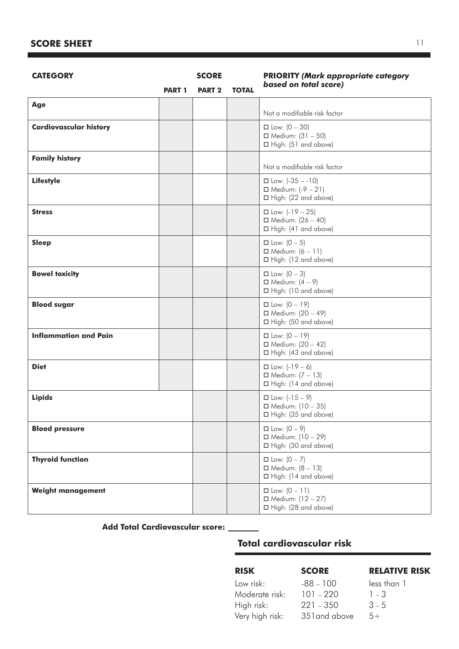# **SCORE SHEET**

| <b>CATEGORY</b>               |               | <b>SCORE</b>  |              | <b>PRIORITY (Mark appropriate category</b>                                           |
|-------------------------------|---------------|---------------|--------------|--------------------------------------------------------------------------------------|
|                               | <b>PART 1</b> | <b>PART 2</b> | <b>TOTAL</b> | based on total score)                                                                |
| Age                           |               |               |              | Not a modifiable risk factor                                                         |
| <b>Cardiovascular history</b> |               |               |              | $\Box$ Low: $(0 - 30)$<br>$\Box$ Medium: (31 - 50)<br>□ High: (51 and above)         |
| <b>Family history</b>         |               |               |              | Not a modifiable risk factor                                                         |
| <b>Lifestyle</b>              |               |               |              | $\square$ Low: $(-35 - -10)$<br>□ Medium: $(-9 - 21)$<br>$\Box$ High: (22 and above) |
| <b>Stress</b>                 |               |               |              | $\Box$ Low: (-19 - 25)<br>$\Box$ Medium: (26 - 40)<br>$\Box$ High: (41 and above)    |
| <b>Sleep</b>                  |               |               |              | $\Box$ Low: $(0 - 5)$<br>$\Box$ Medium: $(6 - 11)$<br>□ High: (12 and above)         |
| <b>Bowel toxicity</b>         |               |               |              | $\Box$ Low: $(0 - 3)$<br>$\Box$ Medium: $(4 - 9)$<br>□ High: (10 and above)          |
| <b>Blood sugar</b>            |               |               |              | $\Box$ Low: $(0 - 19)$<br>$\Box$ Medium: $(20 - 49)$<br>□ High: (50 and above)       |
| <b>Inflammation and Pain</b>  |               |               |              | $\Box$ Low: $(0 - 19)$<br>$\Box$ Medium: (20 - 42)<br>$\Box$ High: (43 and above)    |
| <b>Diet</b>                   |               |               |              | $\Box$ Low: $(-19 - 6)$<br>$\Box$ Medium: $(7 - 13)$<br>$\Box$ High: (14 and above)  |
| <b>Lipids</b>                 |               |               |              | $\square$ Low: $(-15 - 9)$<br>$\Box$ Medium: (10 - 35)<br>□ High: (35 and above)     |
| <b>Blood pressure</b>         |               |               |              | $\Box$ Low: $(0 - 9)$<br>$\Box$ Medium: (10 - 29)<br>□ High: (30 and above)          |
| <b>Thyroid function</b>       |               |               |              | $\square$ Low: $(0 - 7)$<br>$\Box$ Medium: $(8 - 13)$<br>$\Box$ High: (14 and above) |
| <b>Weight management</b>      |               |               |              | $\Box$ Low: $(0 - 11)$<br>$\Box$ Medium: (12 - 27)<br>□ High: (28 and above)         |

# **Add Total Cardiovascular score: \_\_\_\_\_\_\_\_**

# **Total cardiovascular risk**

| <b>RISK</b>     | <b>SCORE</b>  | <b>RELATIVE RISK</b> |
|-----------------|---------------|----------------------|
| Low risk:       | $-88 - 100$   | less than 1          |
| Moderate risk:  | $101 - 220$   | $1 - 3$              |
| High risk:      | $221 - 350$   | $3 - 5$              |
| Very high risk: | 351 and above | $5+$                 |